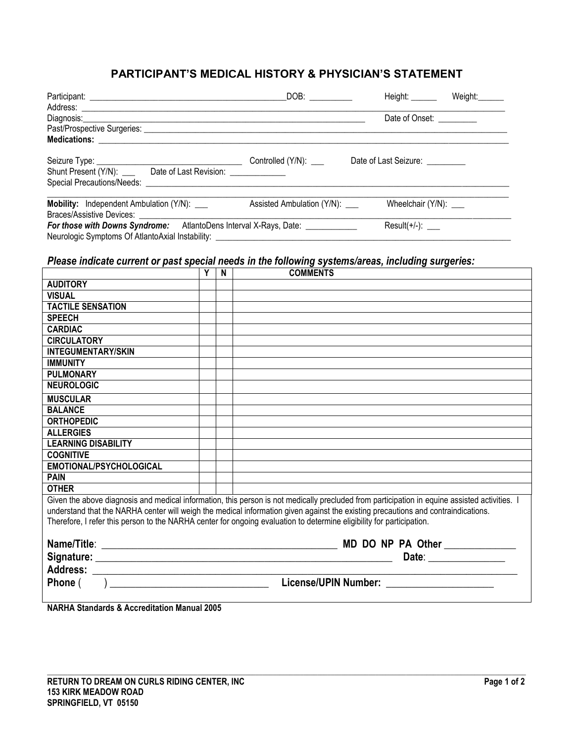## **PARTICIPANT'S MEDICAL HISTORY & PHYSICIAN'S STATEMENT**

|                                                                                                                                                                      |  | DOB: $\_\_$                    | Height: ______<br>Weight: $\frac{1}{2}$ |  |  |  |
|----------------------------------------------------------------------------------------------------------------------------------------------------------------------|--|--------------------------------|-----------------------------------------|--|--|--|
|                                                                                                                                                                      |  |                                | Date of Onset: _________                |  |  |  |
| Shunt Present (Y/N): _____ Date of Last Revision: _____________                                                                                                      |  | Controlled (Y/N): ___          | Date of Last Seizure: ________          |  |  |  |
| <b>Mobility:</b> Independent Ambulation (Y/N): ___                                                                                                                   |  | Assisted Ambulation (Y/N): ___ | Wheelchair $(Y/N)$ : $\_\_$             |  |  |  |
| For those with Downs Syndrome: AtlantoDens Interval X-Rays, Date: ______________<br>Neurologic Symptoms Of AtlantoAxial Instability: _______________________________ |  |                                |                                         |  |  |  |

## *Please indicate current or past special needs in the following systems/areas, including surgeries:*

|                                                                                                                                               | Υ | N | <b>COMMENTS</b> |  |  |
|-----------------------------------------------------------------------------------------------------------------------------------------------|---|---|-----------------|--|--|
| <b>AUDITORY</b>                                                                                                                               |   |   |                 |  |  |
| <b>VISUAL</b>                                                                                                                                 |   |   |                 |  |  |
| <b>TACTILE SENSATION</b>                                                                                                                      |   |   |                 |  |  |
| <b>SPEECH</b>                                                                                                                                 |   |   |                 |  |  |
| <b>CARDIAC</b>                                                                                                                                |   |   |                 |  |  |
| <b>CIRCULATORY</b>                                                                                                                            |   |   |                 |  |  |
| <b>INTEGUMENTARY/SKIN</b>                                                                                                                     |   |   |                 |  |  |
| <b>IMMUNITY</b>                                                                                                                               |   |   |                 |  |  |
| <b>PULMONARY</b>                                                                                                                              |   |   |                 |  |  |
| <b>NEUROLOGIC</b>                                                                                                                             |   |   |                 |  |  |
| <b>MUSCULAR</b>                                                                                                                               |   |   |                 |  |  |
| <b>BALANCE</b>                                                                                                                                |   |   |                 |  |  |
| <b>ORTHOPEDIC</b>                                                                                                                             |   |   |                 |  |  |
| <b>ALLERGIES</b>                                                                                                                              |   |   |                 |  |  |
| <b>LEARNING DISABILITY</b>                                                                                                                    |   |   |                 |  |  |
| <b>COGNITIVE</b>                                                                                                                              |   |   |                 |  |  |
| <b>EMOTIONAL/PSYCHOLOGICAL</b>                                                                                                                |   |   |                 |  |  |
| <b>PAIN</b>                                                                                                                                   |   |   |                 |  |  |
| <b>OTHER</b>                                                                                                                                  |   |   |                 |  |  |
| Given the above diagnosis and medical information, this person is not medically precluded from participation in equine assisted activities. I |   |   |                 |  |  |
| understand that the NARHA center will weigh the medical information given against the existing precautions and contraindications.             |   |   |                 |  |  |
| Therefore, I refer this person to the NARHA center for ongoing evaluation to determine eligibility for participation.                         |   |   |                 |  |  |
|                                                                                                                                               |   |   |                 |  |  |
|                                                                                                                                               |   |   |                 |  |  |
| Date: _____________                                                                                                                           |   |   |                 |  |  |
|                                                                                                                                               |   |   |                 |  |  |
| License/UPIN Number: ________________________<br>Phone (                                                                                      |   |   |                 |  |  |
|                                                                                                                                               |   |   |                 |  |  |

**\_\_\_\_\_\_\_\_\_\_\_\_\_\_\_\_\_\_\_\_\_\_\_\_\_\_\_\_\_\_\_\_\_\_\_\_\_\_\_\_\_\_\_\_\_\_\_\_\_\_\_\_\_\_\_\_\_\_\_\_\_\_\_\_\_\_\_\_\_\_\_\_\_\_\_\_\_\_\_\_\_\_\_\_\_\_\_\_\_\_\_\_\_\_\_\_\_\_\_\_\_\_\_\_\_\_\_\_\_\_\_\_\_\_\_\_\_\_\_\_\_\_\_\_\_\_\_\_\_\_\_\_\_\_\_\_\_\_\_\_**

**NARHA Standards & Accreditation Manual 2005**